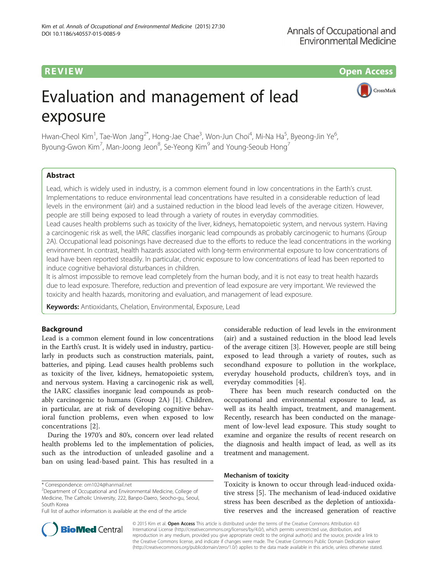**REVIEW CONSTRUCTION CONSTRUCTION CONSTRUCTS** 

CrossMark

# Evaluation and management of lead exposure

Hwan-Cheol Kim<sup>1</sup>, Tae-Won Jang<sup>2\*</sup>, Hong-Jae Chae<sup>3</sup>, Won-Jun Choi<sup>4</sup>, Mi-Na Ha<sup>5</sup>, Byeong-Jin Ye<sup>6</sup> , Byoung-Gwon Kim<sup>7</sup>, Man-Joong Jeon $^8$ , Se-Yeong Kim $^9$  and Young-Seoub Hong $^7$ 

# Abstract

Lead, which is widely used in industry, is a common element found in low concentrations in the Earth's crust. Implementations to reduce environmental lead concentrations have resulted in a considerable reduction of lead levels in the environment (air) and a sustained reduction in the blood lead levels of the average citizen. However, people are still being exposed to lead through a variety of routes in everyday commodities.

Lead causes health problems such as toxicity of the liver, kidneys, hematopoietic system, and nervous system. Having a carcinogenic risk as well, the IARC classifies inorganic lead compounds as probably carcinogenic to humans (Group 2A). Occupational lead poisonings have decreased due to the efforts to reduce the lead concentrations in the working environment. In contrast, health hazards associated with long-term environmental exposure to low concentrations of lead have been reported steadily. In particular, chronic exposure to low concentrations of lead has been reported to induce cognitive behavioral disturbances in children.

It is almost impossible to remove lead completely from the human body, and it is not easy to treat health hazards due to lead exposure. Therefore, reduction and prevention of lead exposure are very important. We reviewed the toxicity and health hazards, monitoring and evaluation, and management of lead exposure.

Keywords: Antioxidants, Chelation, Environmental, Exposure, Lead

# Background

Lead is a common element found in low concentrations in the Earth's crust. It is widely used in industry, particularly in products such as construction materials, paint, batteries, and piping. Lead causes health problems such as toxicity of the liver, kidneys, hematopoietic system, and nervous system. Having a carcinogenic risk as well, the IARC classifies inorganic lead compounds as probably carcinogenic to humans (Group 2A) [\[1](#page-7-0)]. Children, in particular, are at risk of developing cognitive behavioral function problems, even when exposed to low concentrations [[2\]](#page-7-0).

During the 1970's and 80's, concern over lead related health problems led to the implementation of policies, such as the introduction of unleaded gasoline and a ban on using lead-based paint. This has resulted in a

considerable reduction of lead levels in the environment (air) and a sustained reduction in the blood lead levels of the average citizen [[3](#page-7-0)]. However, people are still being exposed to lead through a variety of routes, such as secondhand exposure to pollution in the workplace, everyday household products, children's toys, and in everyday commodities [[4\]](#page-7-0).

There has been much research conducted on the occupational and environmental exposure to lead, as well as its health impact, treatment, and management. Recently, research has been conducted on the management of low-level lead exposure. This study sought to examine and organize the results of recent research on the diagnosis and health impact of lead, as well as its treatment and management.

#### Mechanism of toxicity

Toxicity is known to occur through lead-induced oxidative stress [[5\]](#page-7-0). The mechanism of lead-induced oxidative stress has been described as the depletion of antioxidative reserves and the increased generation of reactive



© 2015 Kim et al. Open Access This article is distributed under the terms of the Creative Commons Attribution 4.0 International License [\(http://creativecommons.org/licenses/by/4.0/](http://creativecommons.org/licenses/by/4.0/)), which permits unrestricted use, distribution, and reproduction in any medium, provided you give appropriate credit to the original author(s) and the source, provide a link to the Creative Commons license, and indicate if changes were made. The Creative Commons Public Domain Dedication waiver [\(http://creativecommons.org/publicdomain/zero/1.0/](http://creativecommons.org/publicdomain/zero/1.0/)) applies to the data made available in this article, unless otherwise stated.

<sup>\*</sup> Correspondence: [om1024@hanmail.net](mailto:om1024@hanmail.net) <sup>2</sup>

<sup>&</sup>lt;sup>2</sup>Department of Occupational and Environmental Medicine, College of Medicine, The Catholic University, 222, Banpo-Daero, Seocho-gu, Seoul, South Korea

Full list of author information is available at the end of the article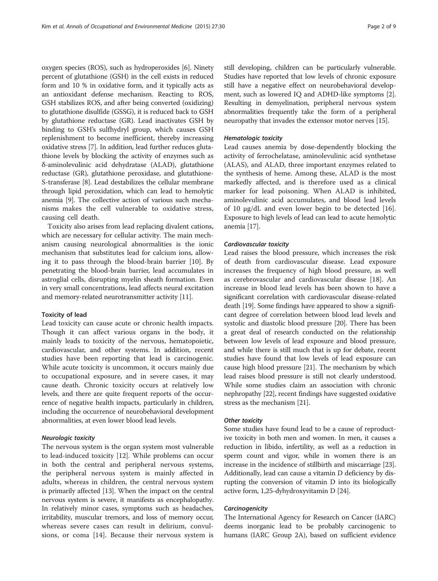oxygen species (ROS), such as hydroperoxides [\[6](#page-7-0)]. Ninety percent of glutathione (GSH) in the cell exists in reduced form and 10 % in oxidative form, and it typically acts as an antioxidant defense mechanism. Reacting to ROS, GSH stabilizes ROS, and after being converted (oxidizing) to glutathione disulfide (GSSG), it is reduced back to GSH by glutathione reductase (GR). Lead inactivates GSH by binding to GSH's sulfhydryl group, which causes GSH replenishment to become inefficient, thereby increasing oxidative stress [\[7](#page-7-0)]. In addition, lead further reduces glutathione levels by blocking the activity of enzymes such as δ-aminolevulinic acid dehydratase (ALAD), glutathione reductase (GR), glutathione peroxidase, and glutathione-S-transferase [[8\]](#page-7-0). Lead destabilizes the cellular membrane through lipid peroxidation, which can lead to hemolytic anemia [\[9](#page-7-0)]. The collective action of various such mechanisms makes the cell vulnerable to oxidative stress, causing cell death.

Toxicity also arises from lead replacing divalent cations, which are necessary for cellular activity. The main mechanism causing neurological abnormalities is the ionic mechanism that substitutes lead for calcium ions, allowing it to pass through the blood-brain barrier [[10](#page-7-0)]. By penetrating the blood-brain barrier, lead accumulates in astroglial cells, disrupting myelin sheath formation. Even in very small concentrations, lead affects neural excitation and memory-related neurotransmitter activity [\[11](#page-7-0)].

#### Toxicity of lead

Lead toxicity can cause acute or chronic health impacts. Though it can affect various organs in the body, it mainly leads to toxicity of the nervous, hematopoietic, cardiovascular, and other systems. In addition, recent studies have been reporting that lead is carcinogenic. While acute toxicity is uncommon, it occurs mainly due to occupational exposure, and in severe cases, it may cause death. Chronic toxicity occurs at relatively low levels, and there are quite frequent reports of the occurrence of negative health impacts, particularly in children, including the occurrence of neurobehavioral development abnormalities, at even lower blood lead levels.

#### Neurologic toxicity

The nervous system is the organ system most vulnerable to lead-induced toxicity [\[12](#page-7-0)]. While problems can occur in both the central and peripheral nervous systems, the peripheral nervous system is mainly affected in adults, whereas in children, the central nervous system is primarily affected [\[13](#page-7-0)]. When the impact on the central nervous system is severe, it manifests as encephalopathy. In relatively minor cases, symptoms such as headaches, irritability, muscular tremors, and loss of memory occur, whereas severe cases can result in delirium, convulsions, or coma [[14\]](#page-7-0). Because their nervous system is still developing, children can be particularly vulnerable. Studies have reported that low levels of chronic exposure still have a negative effect on neurobehavioral development, such as lowered IQ and ADHD-like symptoms [[2](#page-7-0)]. Resulting in demyelination, peripheral nervous system abnormalities frequently take the form of a peripheral neuropathy that invades the extensor motor nerves [[15](#page-7-0)].

#### Hematologic toxicity

Lead causes anemia by dose-dependently blocking the activity of ferrochelatase, aminolevulinic acid synthetase (ALAS), and ALAD, three important enzymes related to the synthesis of heme. Among these, ALAD is the most markedly affected, and is therefore used as a clinical marker for lead poisoning. When ALAD is inhibited, aminolevulinic acid accumulates, and blood lead levels of 10 μg/dL and even lower begin to be detected [\[16](#page-7-0)]. Exposure to high levels of lead can lead to acute hemolytic anemia [\[17\]](#page-7-0).

#### Cardiovascular toxicity

Lead raises the blood pressure, which increases the risk of death from cardiovascular disease. Lead exposure increases the frequency of high blood pressure, as well as cerebrovascular and cardiovascular disease [\[18](#page-7-0)]. An increase in blood lead levels has been shown to have a significant correlation with cardiovascular disease-related death [[19](#page-7-0)]. Some findings have appeared to show a significant degree of correlation between blood lead levels and systolic and diastolic blood pressure [[20](#page-7-0)]. There has been a great deal of research conducted on the relationship between low levels of lead exposure and blood pressure, and while there is still much that is up for debate, recent studies have found that low levels of lead exposure can cause high blood pressure [\[21\]](#page-7-0). The mechanism by which lead raises blood pressure is still not clearly understood. While some studies claim an association with chronic nephropathy [\[22\]](#page-7-0), recent findings have suggested oxidative stress as the mechanism [\[21\]](#page-7-0).

#### Other toxicity

Some studies have found lead to be a cause of reproductive toxicity in both men and women. In men, it causes a reduction in libido, infertility, as well as a reduction in sperm count and vigor, while in women there is an increase in the incidence of stillbirth and miscarriage [[23](#page-7-0)]. Additionally, lead can cause a vitamin D deficiency by disrupting the conversion of vitamin D into its biologically active form, 1,25-dyhydroxyvitamin D [[24](#page-7-0)].

#### **Carcinogenicity**

The International Agency for Research on Cancer (IARC) deems inorganic lead to be probably carcinogenic to humans (IARC Group 2A), based on sufficient evidence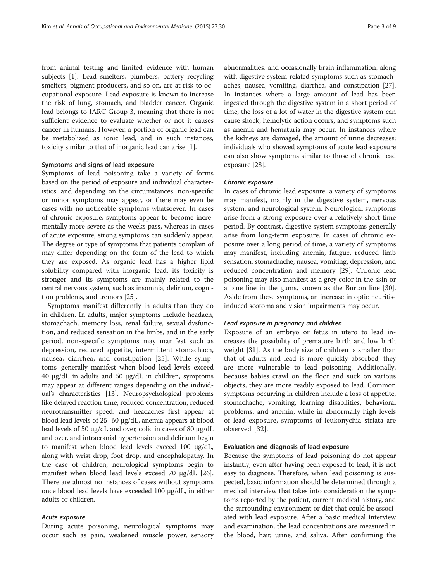from animal testing and limited evidence with human subjects [[1\]](#page-7-0). Lead smelters, plumbers, battery recycling smelters, pigment producers, and so on, are at risk to occupational exposure. Lead exposure is known to increase the risk of lung, stomach, and bladder cancer. Organic lead belongs to IARC Group 3, meaning that there is not sufficient evidence to evaluate whether or not it causes cancer in humans. However, a portion of organic lead can be metabolized as ionic lead, and in such instances, toxicity similar to that of inorganic lead can arise [[1](#page-7-0)].

#### Symptoms and signs of lead exposure

Symptoms of lead poisoning take a variety of forms based on the period of exposure and individual characteristics, and depending on the circumstances, non-specific or minor symptoms may appear, or there may even be cases with no noticeable symptoms whatsoever. In cases of chronic exposure, symptoms appear to become incrementally more severe as the weeks pass, whereas in cases of acute exposure, strong symptoms can suddenly appear. The degree or type of symptoms that patients complain of may differ depending on the form of the lead to which they are exposed. As organic lead has a higher lipid solubility compared with inorganic lead, its toxicity is stronger and its symptoms are mainly related to the central nervous system, such as insomnia, delirium, cognition problems, and tremors [\[25\]](#page-7-0).

Symptoms manifest differently in adults than they do in children. In adults, major symptoms include headach, stomachach, memory loss, renal failure, sexual dysfunction, and reduced sensation in the limbs, and in the early period, non-specific symptoms may manifest such as depression, reduced appetite, intermittent stomachach, nausea, diarrhea, and constipation [\[25](#page-7-0)]. While symptoms generally manifest when blood lead levels exceed 40 μg/dL in adults and 60 μg/dL in children, symptoms may appear at different ranges depending on the individual's characteristics [\[13](#page-7-0)]. Neuropsychological problems like delayed reaction time, reduced concentration, reduced neurotransmitter speed, and headaches first appear at blood lead levels of 25–60 μg/dL, anemia appears at blood lead levels of 50 μg/dL and over, colic in cases of 80 μg/dL and over, and intracranial hypertension and delirium begin to manifest when blood lead levels exceed 100 μg/dL, along with wrist drop, foot drop, and encephalopathy. In the case of children, neurological symptoms begin to manifest when blood lead levels exceed 70 μg/dL [[26](#page-7-0)]. There are almost no instances of cases without symptoms once blood lead levels have exceeded 100 μg/dL, in either adults or children.

#### Acute exposure

During acute poisoning, neurological symptoms may occur such as pain, weakened muscle power, sensory abnormalities, and occasionally brain inflammation, along with digestive system-related symptoms such as stomachaches, nausea, vomiting, diarrhea, and constipation [[27](#page-7-0)]. In instances where a large amount of lead has been ingested through the digestive system in a short period of time, the loss of a lot of water in the digestive system can cause shock, hemolytic action occurs, and symptoms such as anemia and hematuria may occur. In instances where the kidneys are damaged, the amount of urine decreases; individuals who showed symptoms of acute lead exposure can also show symptoms similar to those of chronic lead exposure [\[28](#page-7-0)].

#### Chronic exposure

In cases of chronic lead exposure, a variety of symptoms may manifest, mainly in the digestive system, nervous system, and neurological system. Neurological symptoms arise from a strong exposure over a relatively short time period. By contrast, digestive system symptoms generally arise from long-term exposure. In cases of chronic exposure over a long period of time, a variety of symptoms may manifest, including anemia, fatigue, reduced limb sensation, stomachache, nausea, vomiting, depression, and reduced concentration and memory [\[29](#page-7-0)]. Chronic lead poisoning may also manifest as a grey color in the skin or a blue line in the gums, known as the Burton line [[30](#page-7-0)]. Aside from these symptoms, an increase in optic neuritisinduced scotoma and vision impairments may occur.

#### Lead exposure in pregnancy and children

Exposure of an embryo or fetus in utero to lead increases the possibility of premature birth and low birth weight [\[31](#page-7-0)]. As the body size of children is smaller than that of adults and lead is more quickly absorbed, they are more vulnerable to lead poisoning. Additionally, because babies crawl on the floor and suck on various objects, they are more readily exposed to lead. Common symptoms occurring in children include a loss of appetite, stomachache, vomiting, learning disabilities, behavioral problems, and anemia, while in abnormally high levels of lead exposure, symptoms of leukonychia striata are observed [\[32](#page-7-0)].

#### Evaluation and diagnosis of lead exposure

Because the symptoms of lead poisoning do not appear instantly, even after having been exposed to lead, it is not easy to diagnose. Therefore, when lead poisoning is suspected, basic information should be determined through a medical interview that takes into consideration the symptoms reported by the patient, current medical history, and the surrounding environment or diet that could be associated with lead exposure. After a basic medical interview and examination, the lead concentrations are measured in the blood, hair, urine, and saliva. After confirming the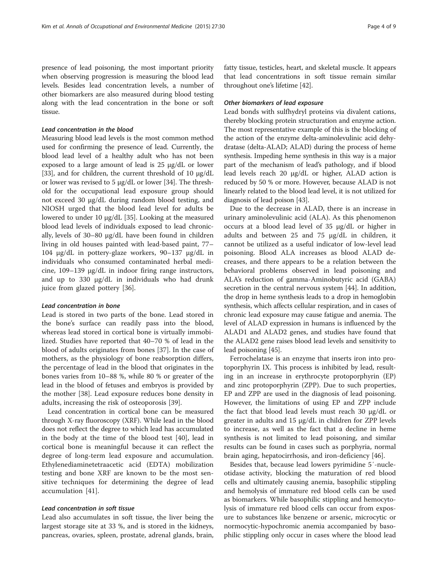presence of lead poisoning, the most important priority when observing progression is measuring the blood lead levels. Besides lead concentration levels, a number of other biomarkers are also measured during blood testing along with the lead concentration in the bone or soft tissue.

#### Lead concentration in the blood

Measuring blood lead levels is the most common method used for confirming the presence of lead. Currently, the blood lead level of a healthy adult who has not been exposed to a large amount of lead is 25 μg/dL or lower [[33](#page-7-0)], and for children, the current threshold of 10 μg/dL or lower was revised to 5 μg/dL or lower [[34](#page-7-0)]. The threshold for the occupational lead exposure group should not exceed 30 μg/dL during random blood testing, and NIOSH urged that the blood lead level for adults be lowered to under 10 μg/dL [[35\]](#page-7-0). Looking at the measured blood lead levels of individuals exposed to lead chronically, levels of 30–80 μg/dL have been found in children living in old houses painted with lead-based paint, 77– 104 μg/dL in pottery-glaze workers, 90–137 μg/dL in individuals who consumed contaminated herbal medicine, 109–139 μg/dL in indoor firing range instructors, and up to 330 μg/dL in individuals who had drunk juice from glazed pottery [\[36](#page-7-0)].

#### Lead concentration in bone

Lead is stored in two parts of the bone. Lead stored in the bone's surface can readily pass into the blood, whereas lead stored in cortical bone is virtually immobilized. Studies have reported that 40–70 % of lead in the blood of adults originates from bones [[37\]](#page-7-0). In the case of mothers, as the physiology of bone reabsorption differs, the percentage of lead in the blood that originates in the bones varies from 10–88 %, while 80 % or greater of the lead in the blood of fetuses and embryos is provided by the mother [[38\]](#page-7-0). Lead exposure reduces bone density in adults, increasing the risk of osteoporosis [\[39](#page-7-0)].

Lead concentration in cortical bone can be measured through X-ray fluoroscopy (XRF). While lead in the blood does not reflect the degree to which lead has accumulated in the body at the time of the blood test [[40\]](#page-7-0), lead in cortical bone is meaningful because it can reflect the degree of long-term lead exposure and accumulation. Ethylenediaminetetraacetic acid (EDTA) mobilization testing and bone XRF are known to be the most sensitive techniques for determining the degree of lead accumulation [[41\]](#page-7-0).

#### Lead concentration in soft tissue

Lead also accumulates in soft tissue, the liver being the largest storage site at 33 %, and is stored in the kidneys, pancreas, ovaries, spleen, prostate, adrenal glands, brain, fatty tissue, testicles, heart, and skeletal muscle. It appears that lead concentrations in soft tissue remain similar throughout one's lifetime [[42](#page-7-0)].

#### Other biomarkers of lead exposure

Lead bonds with sulfhydryl proteins via divalent cations, thereby blocking protein structuration and enzyme action. The most representative example of this is the blocking of the action of the enzyme delta-aminolevulinic acid dehydratase (delta-ALAD; ALAD) during the process of heme synthesis. Impeding heme synthesis in this way is a major part of the mechanism of lead's pathology, and if blood lead levels reach 20 μg/dL or higher, ALAD action is reduced by 50 % or more. However, because ALAD is not linearly related to the blood lead level, it is not utilized for diagnosis of lead poison [[43](#page-7-0)].

Due to the decrease in ALAD, there is an increase in urinary aminolevulinic acid (ALA). As this phenomenon occurs at a blood lead level of 35 μg/dL or higher in adults and between 25 and 75 μg/dL in children, it cannot be utilized as a useful indicator of low-level lead poisoning. Blood ALA increases as blood ALAD decreases, and there appears to be a relation between the behavioral problems observed in lead poisoning and ALA's reduction of gamma-Aminobutyric acid (GABA) secretion in the central nervous system [[44\]](#page-7-0). In addition, the drop in heme synthesis leads to a drop in hemoglobin synthesis, which affects cellular respiration, and in cases of chronic lead exposure may cause fatigue and anemia. The level of ALAD expression in humans is influenced by the ALAD1 and ALAD2 genes, and studies have found that the ALAD2 gene raises blood lead levels and sensitivity to lead poisoning [\[45](#page-7-0)].

Ferrochelatase is an enzyme that inserts iron into protoporphyrin IX. This process is inhibited by lead, resulting in an increase in erythrocyte protoporphyrin (EP) and zinc protoporphyrin (ZPP). Due to such properties, EP and ZPP are used in the diagnosis of lead poisoning. However, the limitations of using EP and ZPP include the fact that blood lead levels must reach 30 μg/dL or greater in adults and 15 μg/dL in children for ZPP levels to increase, as well as the fact that a decline in heme synthesis is not limited to lead poisoning, and similar results can be found in cases such as porphyria, normal brain aging, hepatocirrhosis, and iron-deficiency [[46\]](#page-7-0).

Besides that, because lead lowers pyrimidine 5′-nucleotidase activity, blocking the maturation of red blood cells and ultimately causing anemia, basophilic stippling and hemolysis of immature red blood cells can be used as biomarkers. While basophilic stippling and hemocytolysis of immature red blood cells can occur from exposure to substances like benzene or arsenic, microcytic or normocytic-hypochromic anemia accompanied by basophilic stippling only occur in cases where the blood lead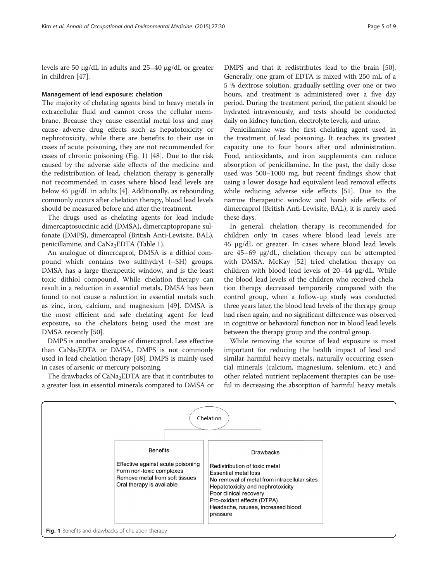levels are 50 μg/dL in adults and 25–40 μg/dL or greater in children [\[47](#page-7-0)].

#### Management of lead exposure: chelation

The majority of chelating agents bind to heavy metals in extracellular fluid and cannot cross the cellular membrane. Because they cause essential metal loss and may cause adverse drug effects such as hepatotoxicity or nephrotoxicity, while there are benefits to their use in cases of acute poisoning, they are not recommended for cases of chronic poisoning (Fig. 1) [[48](#page-7-0)]. Due to the risk caused by the adverse side effects of the medicine and the redistribution of lead, chelation therapy is generally not recommended in cases where blood lead levels are below 45 μg/dL in adults [\[4](#page-7-0)]. Additionally, as rebounding commonly occurs after chelation therapy, blood lead levels should be measured before and after the treatment.

The drugs used as chelating agents for lead include dimercaptosuccinic acid (DMSA), dimercaptopropane sulfonate (DMPS), dimercaprol (British Anti-Lewisite, BAL), penicillamine, and CaNa<sub>2</sub>EDTA (Table [1](#page-5-0)).

An analogue of dimercaprol, DMSA is a dithiol compound which contains two sulfhydryl (–SH) groups. DMSA has a large therapeutic window, and is the least toxic dithiol compound. While chelation therapy can result in a reduction in essential metals, DMSA has been found to not cause a reduction in essential metals such as zinc, iron, calcium, and magnesium [\[49\]](#page-7-0). DMSA is the most efficient and safe chelating agent for lead exposure, so the chelators being used the most are DMSA recently [\[50](#page-7-0)].

DMPS is another analogue of dimercaprol. Less effective than CaNa<sub>2</sub>EDTA or DMSA, DMPS is not commonly used in lead chelation therapy [[48](#page-7-0)]. DMPS is mainly used in cases of arsenic or mercury poisoning.

The drawbacks of CaNa<sub>2</sub>EDTA are that it contributes to a greater loss in essential minerals compared to DMSA or

DMPS and that it redistributes lead to the brain [[50](#page-7-0)]. Generally, one gram of EDTA is mixed with 250 mL of a 5 % dextrose solution, gradually settling over one or two hours, and treatment is administered over a five day period. During the treatment period, the patient should be hydrated intravenously, and tests should be conducted daily on kidney function, electrolyte levels, and urine.

Penicillamine was the first chelating agent used in the treatment of lead poisoning. It reaches its greatest capacity one to four hours after oral administration. Food, antioxidants, and iron supplements can reduce absorption of penicillamine. In the past, the daily dose used was 500–1000 mg, but recent findings show that using a lower dosage had equivalent lead removal effects while reducing adverse side effects [\[51](#page-7-0)]. Due to the narrow therapeutic window and harsh side effects of dimercaprol (British Anti-Lewisite, BAL), it is rarely used these days.

In general, chelation therapy is recommended for children only in cases where blood lead levels are 45 μg/dL or greater. In cases where blood lead levels are 45–69 μg/dL, chelation therapy can be attempted with DMSA. McKay [\[52](#page-7-0)] tried chelation therapy on children with blood lead levels of 20–44 μg/dL. While the blood lead levels of the children who received chelation therapy decreased temporarily compared with the control group, when a follow-up study was conducted three years later, the blood lead levels of the therapy group had risen again, and no significant difference was observed in cognitive or behavioral function nor in blood lead levels between the therapy group and the control group.

While removing the source of lead exposure is most important for reducing the health impact of lead and similar harmful heavy metals, naturally occurring essential minerals (calcium, magnesium, selenium, etc.) and other related nutrient replacement therapies can be useful in decreasing the absorption of harmful heavy metals

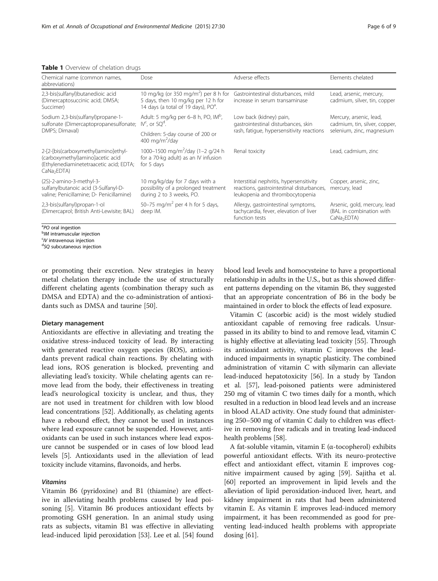<span id="page-5-0"></span>Table 1 Overview of chelation drugs

| Chemical name (common names,<br>abbreviations)                                                                                                 | Dose                                                                                                                                      | Adverse effects                                                                                                          | Elements chelated                                                                     |
|------------------------------------------------------------------------------------------------------------------------------------------------|-------------------------------------------------------------------------------------------------------------------------------------------|--------------------------------------------------------------------------------------------------------------------------|---------------------------------------------------------------------------------------|
| 2,3-bis(sulfanyl)butanedioic acid<br>(Dimercaptosuccinic acid; DMSA;<br>Succimer)                                                              | 10 mg/kg (or 350 mg/m <sup>2</sup> ) per 8 h for<br>5 days, then 10 mg/kg per 12 h for<br>14 days (a total of 19 days), PO <sup>a</sup> . | Gastrointestinal disturbances, mild<br>increase in serum transaminase                                                    | Lead, arsenic, mercury,<br>cadmium, silver, tin, copper                               |
| Sodium 2,3-bis(sulfanyl)propane-1-<br>sulfonate (Dimercaptopropanesulfonate;<br>DMPS; Dimaval)                                                 | Adult: 5 mg/kg per 6–8 h, PO, IM <sup>b</sup> ,<br>$IVc$ , or $SOd$ .                                                                     | Low back (kidney) pain,<br>gastrointestinal disturbances, skin<br>rash, fatique, hypersensitivity reactions              | Mercury, arsenic, lead,<br>cadmium, tin, silver, copper,<br>selenium, zinc, magnesium |
|                                                                                                                                                | Children: 5-day course of 200 or<br>400 mg/m <sup>2</sup> /day                                                                            |                                                                                                                          |                                                                                       |
| 2-[2-[bis(carboxymethyl)amino]ethyl-<br>(carboxymethyl)amino]acetic acid<br>(Ethylenediaminetetraacetic acid; EDTA;<br>CaNa <sub>2</sub> EDTA) | 1000-1500 mg/m <sup>2</sup> /day (1-2 g/24 h<br>for a 70-kg adult) as an IV infusion<br>for 5 days                                        | Renal toxicity                                                                                                           | Lead, cadmium, zinc                                                                   |
| (2S)-2-amino-3-methyl-3-<br>sulfanylbutanoic acid (3-Sulfanyl-D-<br>valine; Penicillamine; D- Penicillamine)                                   | 10 mg/kg/day for 7 days with a<br>possibility of a prolonged treatment<br>during 2 to 3 weeks, PO.                                        | Interstitial nephritis, hypersensitivity<br>reactions, gastrointestinal disturbances,<br>leukopenia and thrombocytopenia | Copper, arsenic, zinc,<br>mercury, lead                                               |
| 2,3-bis(sulfanyl)propan-1-ol<br>(Dimercaprol; British Anti-Lewisite; BAL)                                                                      | 50-75 mg/m <sup>2</sup> per 4 h for 5 days,<br>deep IM.                                                                                   | Allergy, gastrointestinal symptoms,<br>tachycardia, fever, elevation of liver<br>function tests                          | Arsenic, gold, mercury, lead<br>(BAL in combination with<br>CaNa <sub>2</sub> EDTA)   |

<sup>a</sup>PO oral ingestion<br><sup>b</sup>IM intramuscular

 $<sup>b</sup>$ IM intramuscular injection</sup>

 $V$  intravenous injection

 ${}^{d}$ SQ subcutaneous injection

or promoting their excretion. New strategies in heavy metal chelation therapy include the use of structurally different chelating agents (combination therapy such as DMSA and EDTA) and the co-administration of antioxidants such as DMSA and taurine [[50\]](#page-7-0).

#### Dietary management

Antioxidants are effective in alleviating and treating the oxidative stress-induced toxicity of lead. By interacting with generated reactive oxygen species (ROS), antioxidants prevent radical chain reactions. By chelating with lead ions, ROS generation is blocked, preventing and alleviating lead's toxicity. While chelating agents can remove lead from the body, their effectiveness in treating lead's neurological toxicity is unclear, and thus, they are not used in treatment for children with low blood lead concentrations [[52](#page-7-0)]. Additionally, as chelating agents have a rebound effect, they cannot be used in instances where lead exposure cannot be suspended. However, antioxidants can be used in such instances where lead exposure cannot be suspended or in cases of low blood lead levels [\[5\]](#page-7-0). Antioxidants used in the alleviation of lead toxicity include vitamins, flavonoids, and herbs.

### Vitamins

Vitamin B6 (pyridoxine) and B1 (thiamine) are effective in alleviating health problems caused by lead poisoning [\[5](#page-7-0)]. Vitamin B6 produces antioxidant effects by promoting GSH generation. In an animal study using rats as subjects, vitamin B1 was effective in alleviating lead-induced lipid peroxidation [\[53\]](#page-7-0). Lee et al. [\[54\]](#page-7-0) found

blood lead levels and homocysteine to have a proportional relationship in adults in the U.S., but as this showed different patterns depending on the vitamin B6, they suggested that an appropriate concentration of B6 in the body be maintained in order to block the effects of lead exposure.

Vitamin C (ascorbic acid) is the most widely studied antioxidant capable of removing free radicals. Unsurpassed in its ability to bind to and remove lead, vitamin C is highly effective at alleviating lead toxicity [\[55](#page-7-0)]. Through its antioxidant activity, vitamin C improves the leadinduced impairments in synaptic plasticity. The combined administration of vitamin C with silymarin can alleviate lead-induced hepatotoxicity [\[56](#page-8-0)]. In a study by Tandon et al. [[57\]](#page-8-0), lead-poisoned patients were administered 250 mg of vitamin C two times daily for a month, which resulted in a reduction in blood lead levels and an increase in blood ALAD activity. One study found that administering 250–500 mg of vitamin C daily to children was effective in removing free radicals and in treating lead-induced health problems [\[58\]](#page-8-0).

A fat-soluble vitamin, vitamin E (α-tocopherol) exhibits powerful antioxidant effects. With its neuro-protective effect and antioxidant effect, vitamin E improves cognitive impairment caused by aging [[59](#page-8-0)]. Sajitha et al. [[60\]](#page-8-0) reported an improvement in lipid levels and the alleviation of lipid peroxidation-induced liver, heart, and kidney impairment in rats that had been administered vitamin E. As vitamin E improves lead-induced memory impairment, it has been recommended as good for preventing lead-induced health problems with appropriate dosing [[61](#page-8-0)].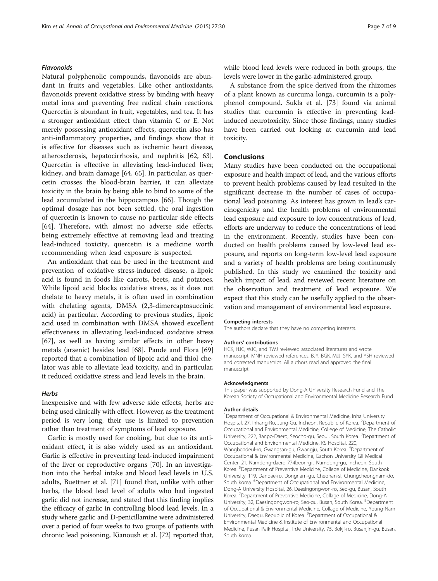## Flavonoids

Natural polyphenolic compounds, flavonoids are abundant in fruits and vegetables. Like other antioxidants, flavonoids prevent oxidative stress by binding with heavy metal ions and preventing free radical chain reactions. Quercetin is abundant in fruit, vegetables, and tea. It has a stronger antioxidant effect than vitamin C or E. Not merely possessing antioxidant effects, quercetin also has anti-inflammatory properties, and findings show that it is effective for diseases such as ischemic heart disease, atherosclerosis, hepatocirrhosis, and nephritis [\[62](#page-8-0), [63](#page-8-0)]. Quercetin is effective in alleviating lead-induced liver, kidney, and brain damage [[64](#page-8-0), [65](#page-8-0)]. In particular, as quercetin crosses the blood-brain barrier, it can alleviate toxicity in the brain by being able to bind to some of the lead accumulated in the hippocampus [[66\]](#page-8-0). Though the optimal dosage has not been settled, the oral ingestion of quercetin is known to cause no particular side effects [[64\]](#page-8-0). Therefore, with almost no adverse side effects, being extremely effective at removing lead and treating lead-induced toxicity, quercetin is a medicine worth recommending when lead exposure is suspected.

An antioxidant that can be used in the treatment and prevention of oxidative stress-induced disease, α-lipoic acid is found in foods like carrots, beets, and potatoes. While lipoid acid blocks oxidative stress, as it does not chelate to heavy metals, it is often used in combination with chelating agents, DMSA (2,3-dimercaptosuccinic acid) in particular. According to previous studies, lipoic acid used in combination with DMSA showed excellent effectiveness in alleviating lead-induced oxidative stress [[67\]](#page-8-0), as well as having similar effects in other heavy metals (arsenic) besides lead [[68\]](#page-8-0). Pande and Flora [[69](#page-8-0)] reported that a combination of lipoic acid and thiol chelator was able to alleviate lead toxicity, and in particular, it reduced oxidative stress and lead levels in the brain.

#### **Herbs**

Inexpensive and with few adverse side effects, herbs are being used clinically with effect. However, as the treatment period is very long, their use is limited to prevention rather than treatment of symptoms of lead exposure.

Garlic is mostly used for cooking, but due to its antioxidant effect, it is also widely used as an antioxidant. Garlic is effective in preventing lead-induced impairment of the liver or reproductive organs [\[70\]](#page-8-0). In an investigation into the herbal intake and blood lead levels in U.S. adults, Buettner et al. [[71\]](#page-8-0) found that, unlike with other herbs, the blood lead level of adults who had ingested garlic did not increase, and stated that this finding implies the efficacy of garlic in controlling blood lead levels. In a study where garlic and D-penicillamine were administered over a period of four weeks to two groups of patients with chronic lead poisoning, Kianoush et al. [[72](#page-8-0)] reported that,

while blood lead levels were reduced in both groups, the levels were lower in the garlic-administered group.

A substance from the spice derived from the rhizomes of a plant known as curcuma longa, curcumin is a polyphenol compound. Sukla et al. [\[73\]](#page-8-0) found via animal studies that curcumin is effective in preventing leadinduced neurotoxicity. Since those findings, many studies have been carried out looking at curcumin and lead toxicity.

#### **Conclusions**

Many studies have been conducted on the occupational exposure and health impact of lead, and the various efforts to prevent health problems caused by lead resulted in the significant decrease in the number of cases of occupational lead poisoning. As interest has grown in lead's carcinogenicity and the health problems of environmental lead exposure and exposure to low concentrations of lead, efforts are underway to reduce the concentrations of lead in the environment. Recently, studies have been conducted on health problems caused by low-level lead exposure, and reports on long-term low-level lead exposure and a variety of health problems are being continuously published. In this study we examined the toxicity and health impact of lead, and reviewed recent literature on the observation and treatment of lead exposure. We expect that this study can be usefully applied to the observation and management of environmental lead exposure.

#### Competing interests

The authors declare that they have no competing interests.

#### Authors' contributions

HCK, HJC, WJC, and TWJ reviewed associated literatures and wrote manuscript. MNH reviewed references. BJY, BGK, MJJ, SYK, and YSH reviewed and corrected manuscript. All authors read and approved the final manuscript.

#### Acknowledgments

This paper was supported by Dong-A University Research Fund and The Korean Society of Occupational and Environmental Medicine Research Fund.

#### Author details

<sup>1</sup>Department of Occupational & Environmental Medicine, Inha University Hospital, 27, Inhang-Ro, Jung-Gu, Incheon, Republic of Korea. <sup>2</sup>Department of Occupational and Environmental Medicine, College of Medicine, The Catholic University, 222, Banpo-Daero, Seocho-gu, Seoul, South Korea. <sup>3</sup>Department of Occupational and Environmental Medicine, KS Hospital, 220, Wangbeodeul-ro, Gwangsan-gu, Gwangju, South Korea. <sup>4</sup>Department of Occupational & Environmental Medicine, Gachon University Gil Medical Center, 21, Namdong-daero 774beon-gil, Namdong-gu, Incheon, South Korea. <sup>5</sup> Department of Preventive Medicine, College of Medicine, Dankook University, 119, Dandae-ro, Dongnam-gu, Cheonan-si, Chungcheongnam-do, South Korea. <sup>6</sup>Department of Occupational and Environmental Medicine, Dong-A University Hospital, 26, Daesingongwon-ro, Seo-gu, Busan, South Korea. <sup>7</sup> Department of Preventive Medicine, Collage of Medicine, Dong-A University, 32, Daesingongwon-ro, Seo-gu, Busan, South Korea. <sup>8</sup>Department of Occupational & Environmental Medicine, Collage of Medicine, Young-Nam University, Daegu, Republic of Korea. <sup>9</sup>Department of Occupational & Environmental Medicine & Institute of Environmental and Occupational Medicine, Pusan Paik Hospital, InJe University, 75, Bokji-ro, Busanjin-gu, Busan, South Korea.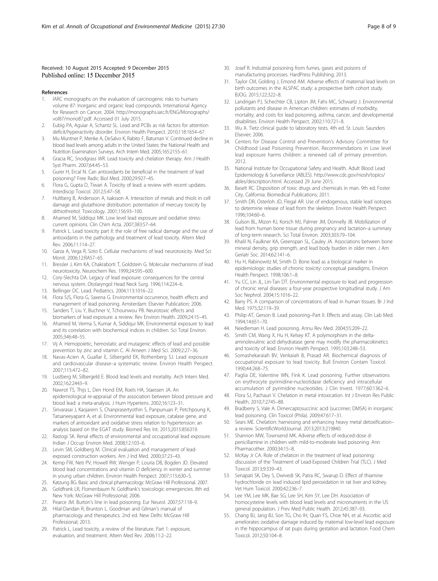#### <span id="page-7-0"></span>Received: 10 August 2015 Accepted: 9 December 2015 Published online: 15 December 2015

#### References

- 1. IARC monographs on the evaluation of carcinogenic risks to humans volume 87: Inorganic and organic lead compounds. International Agency for Research on Cancer, 2004. [http://monographs.iarc.fr/ENG/Monographs/](http://monographs.iarc.fr/ENG/Monographs/vol87/mono87.pdf) [vol87/mono87.pdf](http://monographs.iarc.fr/ENG/Monographs/vol87/mono87.pdf). Accessed 01 July 2015.
- 2. Eubig PA, Aguiar A, Schantz SL. Lead and PCBs as risk factors for attention deficit/hyperactivity disorder. Environ Health Perspect. 2010;118:1654–67.
- 3. Mu Muntner P, Menke A, DeSalvo K, Rabito F, Batuman V. Continued decline in blood lead levels among adults in the United States: the National Health and Nutrition Examination Surveys. Arch Intern Med. 2005;165:2155–61.
- 4. Gracia RC, Snodgrass WR. Lead toxicity and chelation therapy. Am J Health Syst Pharm. 2007;64:45–53.
- 5. Gurer H, Ercal N. Can antioxidants be beneficial in the treatment of lead poisoning? Free Radic Biol Med. 2000;29:927–45.
- 6. Flora G, Gupta D, Tiwari A. Toxicity of lead: a review with recent updates. Interdiscip Toxicol. 2012;5:47–58.
- 7. Hultberg B, Andersson A, Isaksson A. Interaction of metals and thiols in cell damage and glutathione distribution: potentiation of mercury toxicity by dithiothreitol. Toxicology. 2001;156:93–100.
- 8. Ahamed M, Siddiqui MK. Low level lead exposure and oxidative stress: current opinions. Clin Chim Acta. 2007;383:57–64.
- 9. Patrick L. Lead toxicity part II: the role of free radical damage and the use of antioxidants in the pathology and treatment of lead toxicity. Altern Med Rev. 2006;11:114–27.
- 10. Garza A, Vega R, Soto E. Cellular mechanisms of lead neurotoxicity. Med Sci Monit. 2006;12:RA57–65.
- 11. Bressler J, Kim KA, Chakraborti T, Goldstein G. Molecular mechanisms of lead neurotoxicity. Neurochem Res. 1999;24:595–600.
- 12. Cory-Slechta DA. Legacy of lead exposure: consequences for the central nervous system. Otolaryngol Head Neck Surg. 1996;114:224–6.
- 13. Bellinger DC. Lead. Pediatrics. 2004;113:1016–22.
- 14. Flora SJS, Flora G, Saxena G. Environmental occurrence, health effects and management of lead poisoning. Amsterdam: Elsevier Publication; 2006.
- 15. Sanders T, Liu Y, Buchner V, Tchounwou PB. Neurotoxic effects and biomarkers of lead exposure: a review. Rev Environ Health. 2009;24:15–45.
- 16. Ahamed M, Verma S, Kumar A, Siddiqui MK. Environmental exposure to lead and its correlation with biochemical indices in children. Sci Total Environ. 2005;346:48–55.
- 17. Vij A. Hemopoietic, hemostatic and mutagenic effects of lead and possible prevention by zinc and vitamin C. Al Ameen J Med Sci. 2009;2:27–36.
- 18. Navas-Acien A, Guallar E, Silbergeld EK, Rothenberg SJ. Lead exposure and cardiovascular disease–a systematic review. Environ Health Perspect. 2007;115:472–82.
- 19. Lustberg M, Silbergeld E. Blood lead levels and mortality. Arch Intern Med. 2002;162:2443–9.
- 20. Nawrot TS, Thijs L, Den Hond EM, Roels HA, Staessen JA. An epidemiological re-appraisal of the association between blood pressure and blood lead: a meta-analysis. J Hum Hypertens. 2002;16:123–31.
- 21. Sirivarasai J, Kaojarern S, Chanprasertyothin S, Panpunuan P, Petchpoung K, Tatsaneeyapant A, et al. Environmental lead exposure, catalase gene, and markers of antioxidant and oxidative stress relation to hypertension: an analysis based on the EGAT study. Biomed Res Int. 2015;2015:856319.
- 22. Rastogi SK. Renal effects of environmental and occupational lead exposure. Indian J Occup Environ Med. 2008;12:103–6.
- 23. Levin SM, Goldberg M. Clinical evaluation and management of leadexposed construction workers. Am J Ind Med. 2000;37:23–43.
- 24. Kemp FW, Neti PV, Howell RW, Wenger P, Louria DB, Bogden JD. Elevated blood lead concentrations and vitamin D deficiency in winter and summer in young urban children. Environ Health Perspect. 2007;115:630–5.
- 25. Katzung BG. Basic and clinical pharmacology: McGraw Hill Professional. 2007. 26. Goldfrank LR, Flomenbaum N. Goldfrank's toxicologic emergencies. 8th ed. New York: McGraw Hill Professional; 2006.
- 27. Pearce JM. Burton's line in lead poisoning. Eur Neurol. 2007;57:118–9.
- 28. Hilal-Dandan R, Brunton L. Goodman and Gilman's manual of pharmacology and therapeutics. 2nd ed. New Delhi: McGraw Hill
- Professional; 2013. 29. Patrick L. Lead toxicity, a review of the literature. Part 1: exposure,
- evaluation, and treatment. Altern Med Rev. 2006;11:2–22.
- 30. Josef R. Industrial poisoning from fumes, gases and poisons of manufacturing processes. HardPress Publishing; 2013.
- 31. Taylor CM, Golding J, Emond AM. Adverse effects of maternal lead levels on birth outcomes in the ALSPAC study: a prospective birth cohort study. BJOG. 2015;122:322–8.
- 32. Landrigan PJ, Schechter CB, Lipton JM, Fahs MC, Schwartz J. Environmental pollutants and disease in American children: estimates of morbidity, mortality, and costs for lead poisoning, asthma, cancer, and developmental disabilities. Environ Health Perspect. 2002;110:721–8.
- 33. Wu A. Tietz clinical guide to laboratory tests. 4th ed. St. Louis: Saunders Elsevier; 2006.
- 34. Centers for Disease Control and Prevention's Advisory Committee for Childhood Lead Poisoning Prevention. Recommendations in Low level lead exposure harms children: a renewed call of primary prevention. 2012.
- 35. National Institute for Occupational Safety and Health. Adult Blood Lead Epidemiology & Surveillance (ABLES). [http://www.cdc.gov/niosh/topics/](http://www.cdc.gov/niosh/topics/ables/description.html) [ables/description.html.](http://www.cdc.gov/niosh/topics/ables/description.html) Accessed 29 June 2015.
- 36. Baselt RC. Disposition of toxic drugs and chemicals in man. 9th ed. Foster City, California: Biomedical Publications; 2011.
- 37. Smith DR, Osterloh JD, Flegal AR. Use of endogenous, stable lead isotopes to determine release of lead from the skeleton. Environ Health Perspect. 1996;104:60–6.
- 38. Gulson BL, Mizon KJ, Korsch MJ, Palmer JM, Donnelly JB. Mobilization of lead from human bone tissue during pregnancy and lactation–a summary of long-term research. Sci Total Environ. 2003;303:79–104.
- 39. Khalil N, Faulkner KA, Greenspan SL, Cauley JA. Associations between bone mineral density, grip strength, and lead body burden in older men. J Am Geriatr Soc. 2014;62:141–6.
- 40. Hu H, Rabinowitz M, Smith D. Bone lead as a biological marker in epidemiologic studies of chronic toxicity: conceptual paradigms. Environ Health Perspect. 1998;106:1–8.
- 41. Yu CC, Lin JL, Lin-Tan DT. Environmental exposure to lead and progression of chronic renal diseases: a four-year prospective longitudinal study. J Am Soc Nephrol. 2004;15:1016–22.
- 42. Barry PS. A comparison of concentrations of lead in human tissues. Br J Ind Med. 1975;32:119–39.
- 43. Philip AT, Gerson B. Lead poisoning–Part II. Effects and assay. Clin Lab Med. 1994;14:651–70.
- 44. Needleman H. Lead poisoning. Annu Rev Med. 2004;55:209–22.
- 45. Smith CM, Wang X, Hu H, Kelsey KT. A polymorphism in the deltaaminolevulinic acid dehydratase gene may modify the pharmacokinetics and toxicity of lead. Environ Health Perspect. 1995;103:248–53.
- 46. Somashekaraiah BV, Venkaiah B, Prasad AR. Biochemical diagnosis of occupational exposure to lead toxicity. Bull Environ Contam Toxicol. 1990;44:268–75.
- 47. Paglia DE, Valentine WN, Fink K. Lead poisoning. Further observations on erythrocyte pyrimidine-nucleotidase deficiency and intracellular accumulation of pyrimidine nucleotides. J Clin Invest. 1977;60:1362–6.
- 48. Flora SJ, Pachauri V. Chelation in metal intoxication. Int J Environ Res Public Health. 2010;7:2745–88.
- 49. Bradberry S, Vale A. Dimercaptosuccinic acid (succimer; DMSA) in inorganic lead poisoning. Clin Toxicol (Phila). 2009;47:617–31.
- 50. Sears ME. Chelation: harnessing and enhancing heavy metal detoxification– a review. ScientificWorldJournal. 2013;2013:219840.
- 51. Shannon MW, Townsend MK. Adverse effects of reduced-dose dpenicillamine in children with mild-to-moderate lead poisoning. Ann Pharmacother. 2000;34:15–8.
- 52. McKay Jr CA. Role of chelation in the treatment of lead poisoning: discussion of the Treatment of Lead-Exposed Children Trial (TLC). J Med Toxicol. 2013;9:339–43.
- 53. Senapati SK, Dey S, Dwivedi SK, Patra RC, Swarup D. Effect of thiamine hydrochloride on lead induced lipid peroxidation in rat liver and kidney. Vet Hum Toxicol. 2000;42:236–7.
- 54. Lee YM, Lee MK, Bae SG, Lee SH, Kim SY, Lee DH. Association of homocysteine levels with blood lead levels and micronutrients in the US general population. J Prev Med Public Health. 2012;45:387–93.
- 55. Chang BJ, Jang BJ, Son TG, Cho IH, Quan FS, Choe NH, et al. Ascorbic acid ameliorates oxidative damage induced by maternal low-level lead exposure in the hippocampus of rat pups during gestation and lactation. Food Chem Toxicol. 2012;50:104–8.